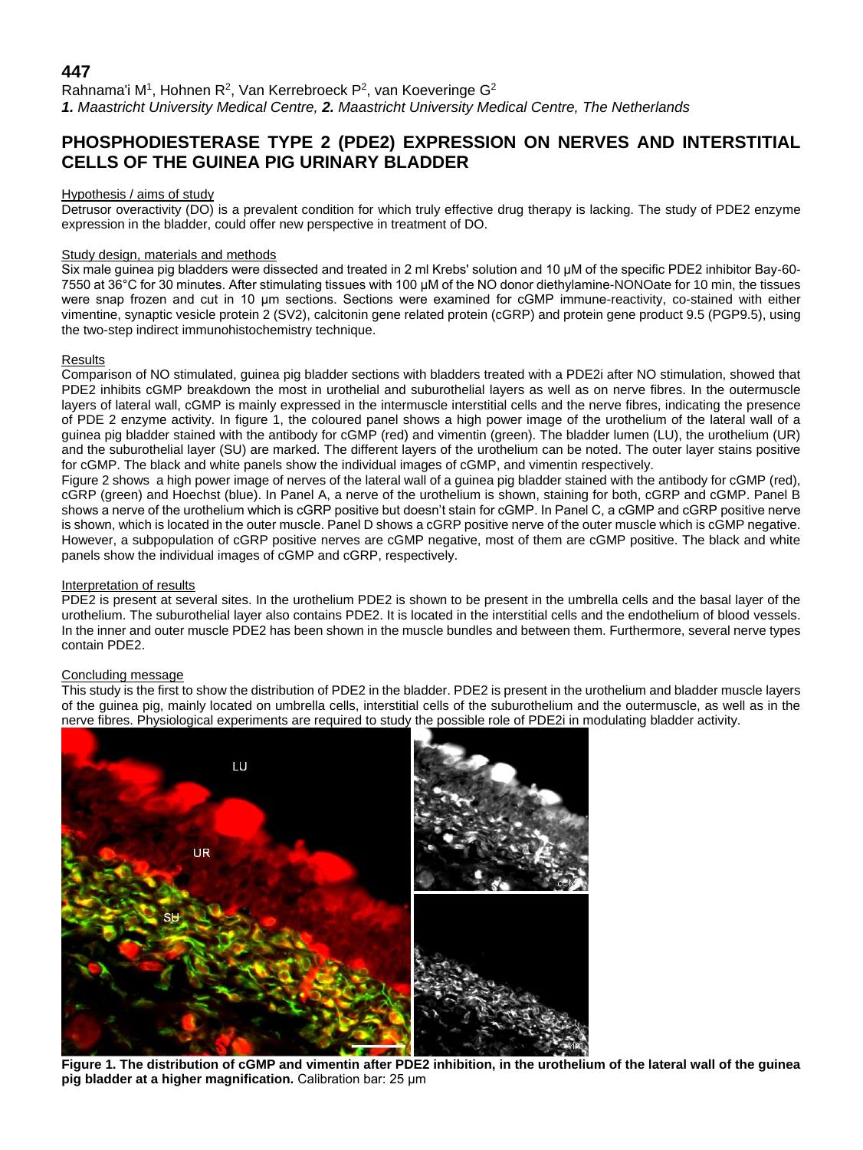## **447**

Rahnama'i M<sup>1</sup>, Hohnen R<sup>2</sup>, Van Kerrebroeck P<sup>2</sup>, van Koeveringe G<sup>2</sup> *1. Maastricht University Medical Centre, 2. Maastricht University Medical Centre, The Netherlands*

# **PHOSPHODIESTERASE TYPE 2 (PDE2) EXPRESSION ON NERVES AND INTERSTITIAL CELLS OF THE GUINEA PIG URINARY BLADDER**

#### Hypothesis / aims of study

Detrusor overactivity (DO) is a prevalent condition for which truly effective drug therapy is lacking. The study of PDE2 enzyme expression in the bladder, could offer new perspective in treatment of DO.

#### Study design, materials and methods

Six male guinea pig bladders were dissected and treated in 2 ml Krebs' solution and 10 μM of the specific PDE2 inhibitor Bay-60- 7550 at 36°C for 30 minutes. After stimulating tissues with 100 μM of the NO donor diethylamine-NONOate for 10 min, the tissues were snap frozen and cut in 10 μm sections. Sections were examined for cGMP immune-reactivity, co-stained with either vimentine, synaptic vesicle protein 2 (SV2), calcitonin gene related protein (cGRP) and protein gene product 9.5 (PGP9.5), using the two-step indirect immunohistochemistry technique.

#### Results

Comparison of NO stimulated, guinea pig bladder sections with bladders treated with a PDE2i after NO stimulation, showed that PDE2 inhibits cGMP breakdown the most in urothelial and suburothelial layers as well as on nerve fibres. In the outermuscle layers of lateral wall, cGMP is mainly expressed in the intermuscle interstitial cells and the nerve fibres, indicating the presence of PDE 2 enzyme activity. In figure 1, the coloured panel shows a high power image of the urothelium of the lateral wall of a guinea pig bladder stained with the antibody for cGMP (red) and vimentin (green). The bladder lumen (LU), the urothelium (UR) and the suburothelial layer (SU) are marked. The different layers of the urothelium can be noted. The outer layer stains positive for cGMP. The black and white panels show the individual images of cGMP, and vimentin respectively.

Figure 2 shows a high power image of nerves of the lateral wall of a guinea pig bladder stained with the antibody for cGMP (red), cGRP (green) and Hoechst (blue). In Panel A, a nerve of the urothelium is shown, staining for both, cGRP and cGMP. Panel B shows a nerve of the urothelium which is cGRP positive but doesn't stain for cGMP. In Panel C, a cGMP and cGRP positive nerve is shown, which is located in the outer muscle. Panel D shows a cGRP positive nerve of the outer muscle which is cGMP negative. However, a subpopulation of cGRP positive nerves are cGMP negative, most of them are cGMP positive. The black and white panels show the individual images of cGMP and cGRP, respectively.

#### Interpretation of results

PDE2 is present at several sites. In the urothelium PDE2 is shown to be present in the umbrella cells and the basal layer of the urothelium. The suburothelial layer also contains PDE2. It is located in the interstitial cells and the endothelium of blood vessels. In the inner and outer muscle PDE2 has been shown in the muscle bundles and between them. Furthermore, several nerve types contain PDE2.

### Concluding message

This study is the first to show the distribution of PDE2 in the bladder. PDE2 is present in the urothelium and bladder muscle layers of the guinea pig, mainly located on umbrella cells, interstitial cells of the suburothelium and the outermuscle, as well as in the nerve fibres. Physiological experiments are required to study the possible role of PDE2i in modulating bladder activity.



**Figure 1. The distribution of cGMP and vimentin after PDE2 inhibition, in the urothelium of the lateral wall of the guinea pig bladder at a higher magnification.** Calibration bar: 25 μm